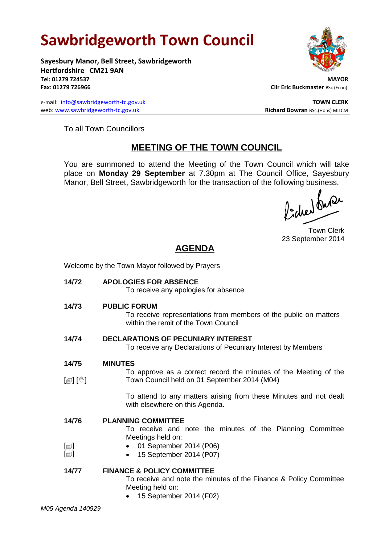# **Sawbridgeworth Town Council**

Welcome by the Town Mayor followed by Prayers

**Sayesbury Manor, Bell Street, Sawbridgeworth Hertfordshire CM21 9AN Tel: 01279 724537 MAYOR Fax: 01279 726966 Cllr Eric Buckmaster BSc (Econ)** 

e-mail: [info@sawbridgeworth-tc.gov.uk](mailto:info@sawbridgeworth-tc.gov.uk) **TOWN CLERK TOWN CLERK** web: www.sawbridgeworth-tc.gov.uk **Richard Bowran** BSc.(Hons) MILCM

To all Town Councillors

## **MEETING OF THE TOWN COUNCIL**

You are summoned to attend the Meeting of the Town Council which will take place on **Monday 29 September** at 7.30pm at The Council Office, Sayesbury Manor, Bell Street, Sawbridgeworth for the transaction of the following business.<br>  $\int_1^{\infty} \int_0^{\infty} \sqrt{\int_0^{\infty}} \sqrt{\int_0^{\infty}} \sqrt{\int_0^{\infty}} \sqrt{\int_0^{\infty}} \sqrt{\int_0^{\infty}} \sqrt{\int_0^{\infty}} \sqrt{\int_0^{\infty}} \sqrt{\int_0^{\infty}} \sqrt{\int_0^{\infty}} \sqrt{\int_0^{\infty}} \sqrt{\int_0^{\in$ 

Town Clerk 23 September 2014

# **AGENDA**

| 14/72                              | <b>APOLOGIES FOR ABSENCE</b><br>To receive any apologies for absence                                                                                      |
|------------------------------------|-----------------------------------------------------------------------------------------------------------------------------------------------------------|
| 14/73                              | <b>PUBLIC FORUM</b><br>To receive representations from members of the public on matters<br>within the remit of the Town Council                           |
| 14/74                              | <b>DECLARATIONS OF PECUNIARY INTEREST</b><br>To receive any Declarations of Pecuniary Interest by Members                                                 |
| 14/75                              | <b>MINUTES</b>                                                                                                                                            |
|                                    | To approve as a correct record the minutes of the Meeting of the                                                                                          |
| $\mathbb{D}[\mathbb{D}^1]$         | Town Council held on 01 September 2014 (M04)                                                                                                              |
|                                    | To attend to any matters arising from these Minutes and not dealt<br>with elsewhere on this Agenda.                                                       |
| 14/76                              | <b>PLANNING COMMITTEE</b>                                                                                                                                 |
|                                    | To receive and note the minutes of the Planning Committee<br>Meetings held on:                                                                            |
| $\lbrack \oplus \rbrack$           | • 01 September 2014 (P06)                                                                                                                                 |
| $\textsf{[} \textsf{1} \textsf{]}$ | 15 September 2014 (P07)<br>$\bullet$                                                                                                                      |
| 14/77                              | <b>FINANCE &amp; POLICY COMMITTEE</b><br>To receive and note the minutes of the Finance & Policy Committee<br>Meeting held on:<br>15 September 2014 (F02) |